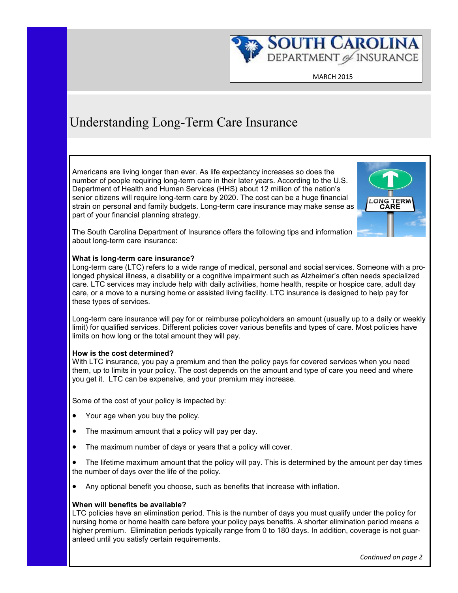

MARCH 2015

# Understanding Long-Term Care Insurance

Americans are living longer than ever. As life expectancy increases so does the number of people requiring long-term care in their later years. According to the U.S. Department of Health and Human Services (HHS) about 12 million of the nation's senior citizens will require long-term care by 2020. The cost can be a huge financial strain on personal and family budgets. Long-term care insurance may make sense as part of your financial planning strategy.



The South Carolina Department of Insurance offers the following tips and information about long-term care insurance:

#### **What is long-term care insurance?**

Long-term care (LTC) refers to a wide range of medical, personal and social services. Someone with a prolonged physical illness, a disability or a cognitive impairment such as Alzheimer's often needs specialized care. LTC services may include help with daily activities, home health, respite or hospice care, adult day care, or a move to a nursing home or assisted living facility. LTC insurance is designed to help pay for these types of services.

Long-term care insurance will pay for or reimburse policyholders an amount (usually up to a daily or weekly limit) for qualified services. Different policies cover various benefits and types of care. Most policies have limits on how long or the total amount they will pay.

#### **How is the cost determined?**

With LTC insurance, you pay a premium and then the policy pays for covered services when you need them, up to limits in your policy. The cost depends on the amount and type of care you need and where you get it. LTC can be expensive, and your premium may increase.

Some of the cost of your policy is impacted by:

- Your age when you buy the policy.
- The maximum amount that a policy will pay per day.
- The maximum number of days or years that a policy will cover.

 The lifetime maximum amount that the policy will pay. This is determined by the amount per day times the number of days over the life of the policy.

Any optional benefit you choose, such as benefits that increase with inflation.

### **When will benefits be available?**

LTC policies have an elimination period. This is the number of days you must qualify under the policy for nursing home or home health care before your policy pays benefits. A shorter elimination period means a higher premium. Elimination periods typically range from 0 to 180 days. In addition, coverage is not guaranteed until you satisfy certain requirements.

 *Continued on page 2*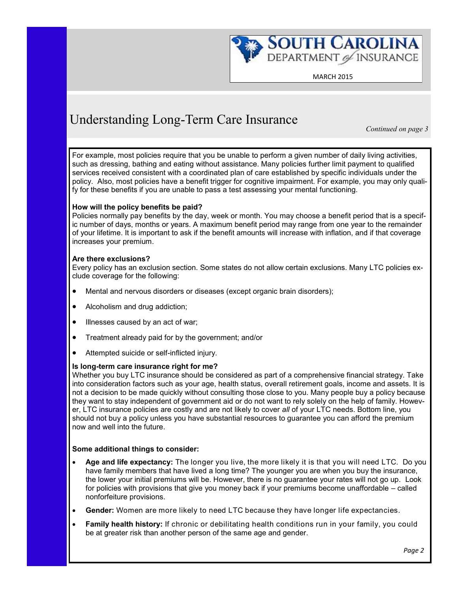

MARCH 2015

# Understanding Long-Term Care Insurance

*Continued on page 3*

For example, most policies require that you be unable to perform a given number of daily living activities, such as dressing, bathing and eating without assistance. Many policies further limit payment to qualified services received consistent with a coordinated plan of care established by specific individuals under the policy. Also, most policies have a benefit trigger for cognitive impairment. For example, you may only qualify for these benefits if you are unable to pass a test assessing your mental functioning.

### **How will the policy benefits be paid?**

Policies normally pay benefits by the day, week or month. You may choose a benefit period that is a specific number of days, months or years. A maximum benefit period may range from one year to the remainder of your lifetime. It is important to ask if the benefit amounts will increase with inflation, and if that coverage increases your premium.

### **Are there exclusions?**

Every policy has an exclusion section. Some states do not allow certain exclusions. Many LTC policies exclude coverage for the following:

- Mental and nervous disorders or diseases (except organic brain disorders);
- Alcoholism and drug addiction;
- Illnesses caused by an act of war;
- Treatment already paid for by the government; and/or
- Attempted suicide or self-inflicted injury.

### **Is long-term care insurance right for me?**

Whether you buy LTC insurance should be considered as part of a comprehensive financial strategy. Take into consideration factors such as your age, health status, overall retirement goals, income and assets. It is not a decision to be made quickly without consulting those close to you. Many people buy a policy because they want to stay independent of government aid or do not want to rely solely on the help of family. However, LTC insurance policies are costly and are not likely to cover *all* of your LTC needs. Bottom line, you should not buy a policy unless you have substantial resources to guarantee you can afford the premium now and well into the future.

### **Some additional things to consider:**

- **Age and life expectancy:** The longer you live, the more likely it is that you will need LTC. Do you have family members that have lived a long time? The younger you are when you buy the insurance, the lower your initial premiums will be. However, there is no guarantee your rates will not go up. Look for policies with provisions that give you money back if your premiums become unaffordable – called nonforfeiture provisions.
- **Gender:** Women are more likely to need LTC because they have longer life expectancies.
- **Family health history:** If chronic or debilitating health conditions run in your family, you could be at greater risk than another person of the same age and gender.